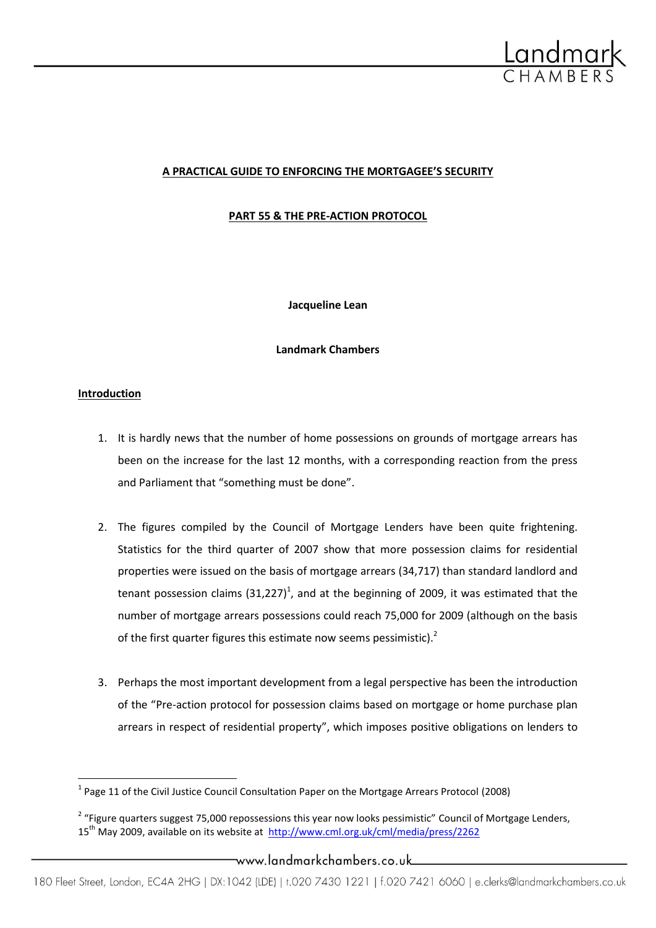

# **A PRACTICAL GUIDE TO ENFORCING THE MORTGAGEE'S SECURITY**

**PART 55 & THE PRE-ACTION PROTOCOL**

**Jacqueline Lean**

**Landmark Chambers**

## **Introduction**

 $\overline{\phantom{a}}$ 

- 1. It is hardly news that the number of home possessions on grounds of mortgage arrears has been on the increase for the last 12 months, with a corresponding reaction from the press and Parliament that "something must be done".
- 2. The figures compiled by the Council of Mortgage Lenders have been quite frightening. Statistics for the third quarter of 2007 show that more possession claims for residential properties were issued on the basis of mortgage arrears (34,717) than standard landlord and tenant possession claims  $(31,227)^1$ , and at the beginning of 2009, it was estimated that the number of mortgage arrears possessions could reach 75,000 for 2009 (although on the basis of the first quarter figures this estimate now seems pessimistic). $2$
- 3. Perhaps the most important development from a legal perspective has been the introduction of the "Pre-action protocol for possession claims based on mortgage or home purchase plan arrears in respect of residential property", which imposes positive obligations on lenders to

#### \_www.landmarkchambers.co.uk

<sup>&</sup>lt;sup>1</sup> Page 11 of the Civil Justice Council Consultation Paper on the Mortgage Arrears Protocol (2008)

<sup>&</sup>lt;sup>2</sup> "Figure quarters suggest 75,000 repossessions this year now looks pessimistic" Council of Mortgage Lenders, 15<sup>th</sup> May 2009, available on its website at<http://www.cml.org.uk/cml/media/press/2262>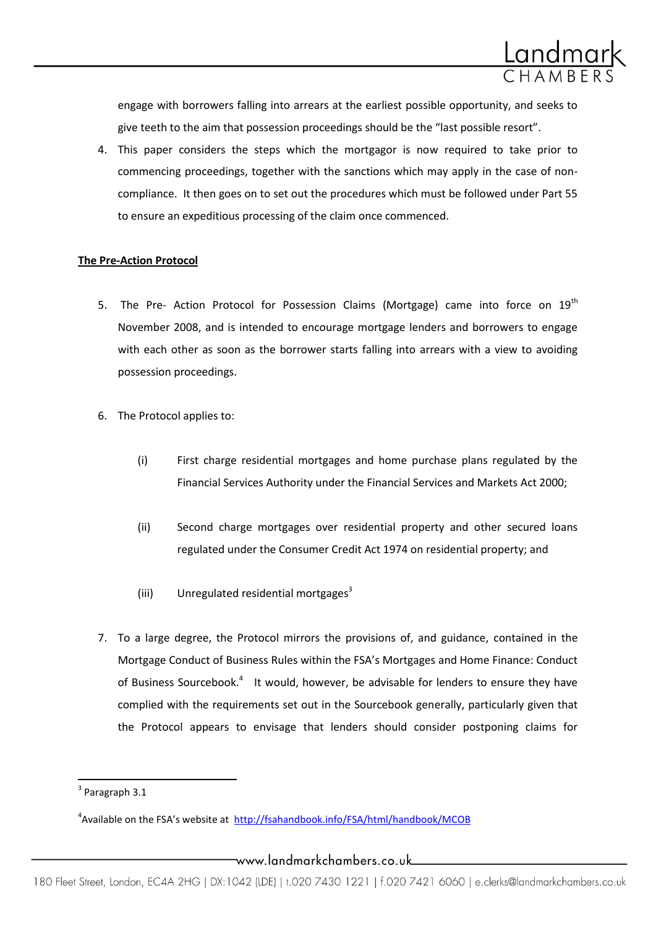

engage with borrowers falling into arrears at the earliest possible opportunity, and seeks to give teeth to the aim that possession proceedings should be the "last possible resort".

4. This paper considers the steps which the mortgagor is now required to take prior to commencing proceedings, together with the sanctions which may apply in the case of noncompliance. It then goes on to set out the procedures which must be followed under Part 55 to ensure an expeditious processing of the claim once commenced.

## **The Pre-Action Protocol**

- 5. The Pre- Action Protocol for Possession Claims (Mortgage) came into force on  $19<sup>th</sup>$ November 2008, and is intended to encourage mortgage lenders and borrowers to engage with each other as soon as the borrower starts falling into arrears with a view to avoiding possession proceedings.
- 6. The Protocol applies to:
	- (i) First charge residential mortgages and home purchase plans regulated by the Financial Services Authority under the Financial Services and Markets Act 2000;
	- (ii) Second charge mortgages over residential property and other secured loans regulated under the Consumer Credit Act 1974 on residential property; and
	- (iii) Unregulated residential mortgages<sup>3</sup>
- 7. To a large degree, the Protocol mirrors the provisions of, and guidance, contained in the Mortgage Conduct of Business Rules within the FSA's Mortgages and Home Finance: Conduct of Business Sourcebook.<sup>4</sup> It would, however, be advisable for lenders to ensure they have complied with the requirements set out in the Sourcebook generally, particularly given that the Protocol appears to envisage that lenders should consider postponing claims for

 $\overline{\phantom{a}}$  $3$  Paragraph 3.1

<sup>&</sup>lt;sup>4</sup>Available on the FSA's website at <http://fsahandbook.info/FSA/html/handbook/MCOB>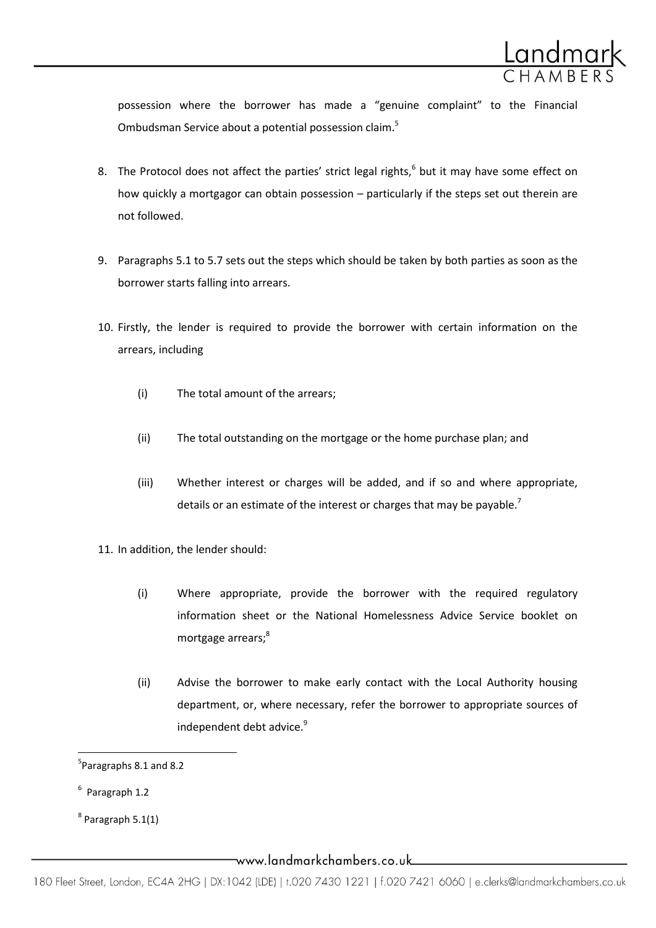

possession where the borrower has made a "genuine complaint" to the Financial Ombudsman Service about a potential possession claim.<sup>5</sup>

- 8. The Protocol does not affect the parties' strict legal rights, $<sup>6</sup>$  but it may have some effect on</sup> how quickly a mortgagor can obtain possession – particularly if the steps set out therein are not followed.
- 9. Paragraphs 5.1 to 5.7 sets out the steps which should be taken by both parties as soon as the borrower starts falling into arrears.
- 10. Firstly, the lender is required to provide the borrower with certain information on the arrears, including
	- (i) The total amount of the arrears;
	- (ii) The total outstanding on the mortgage or the home purchase plan; and
	- (iii) Whether interest or charges will be added, and if so and where appropriate, details or an estimate of the interest or charges that may be payable.<sup>7</sup>
- 11. In addition, the lender should:
	- (i) Where appropriate, provide the borrower with the required regulatory information sheet or the National Homelessness Advice Service booklet on mortgage arrears;<sup>8</sup>
	- (ii) Advise the borrower to make early contact with the Local Authority housing department, or, where necessary, refer the borrower to appropriate sources of independent debt advice.<sup>9</sup>

 $\overline{a}$ 

<sup>&</sup>lt;sup>5</sup>Paragraphs 8.1 and 8.2

<sup>&</sup>lt;sup>6</sup> Paragraph 1.2

 $^8$  Paragraph 5.1(1)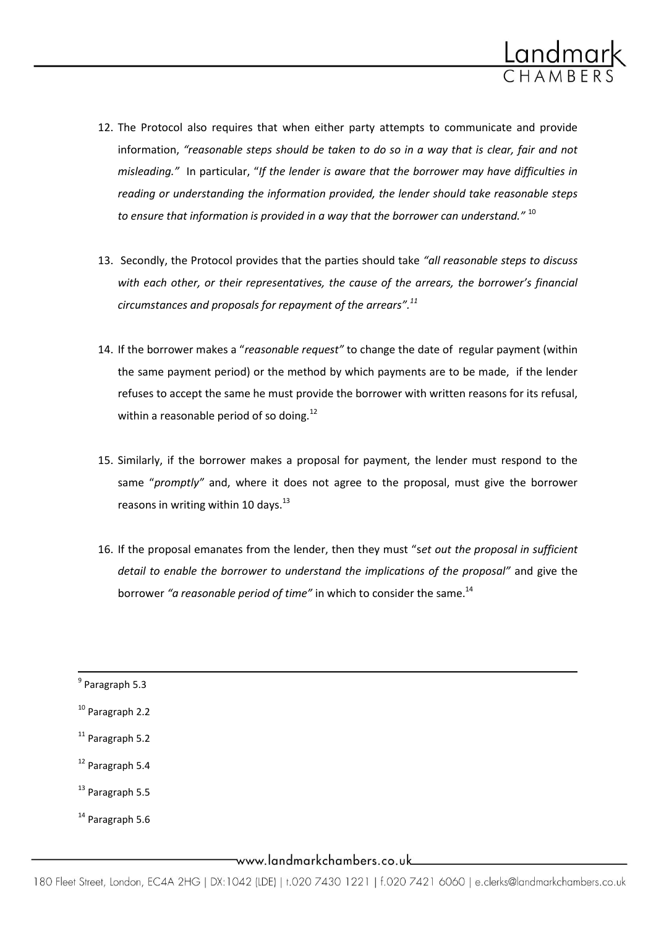

- 12. The Protocol also requires that when either party attempts to communicate and provide information, *"reasonable steps should be taken to do so in a way that is clear, fair and not misleading."* In particular, "*If the lender is aware that the borrower may have difficulties in reading or understanding the information provided, the lender should take reasonable steps to ensure that information is provided in a way that the borrower can understand."* <sup>10</sup>
- 13. Secondly, the Protocol provides that the parties should take *"all reasonable steps to discuss with each other, or their representatives, the cause of the arrears, the borrower's financial circumstances and proposals for repayment of the arrears".<sup>11</sup>*
- 14. If the borrower makes a "*reasonable request"* to change the date of regular payment (within the same payment period) or the method by which payments are to be made, if the lender refuses to accept the same he must provide the borrower with written reasons for its refusal, within a reasonable period of so doing.<sup>12</sup>
- 15. Similarly, if the borrower makes a proposal for payment, the lender must respond to the same "*promptly"* and, where it does not agree to the proposal, must give the borrower reasons in writing within 10 days. $^{13}$
- 16. If the proposal emanates from the lender, then they must "s*et out the proposal in sufficient detail to enable the borrower to understand the implications of the proposal"* and give the borrower "a reasonable period of time" in which to consider the same.<sup>14</sup>

- <sup>12</sup> Paragraph 5.4
- $13$  Paragraph 5.5
- <sup>14</sup> Paragraph 5.6

 9 Paragraph 5.3 <sup>10</sup> Paragraph 2.2  $11$  Paragraph 5.2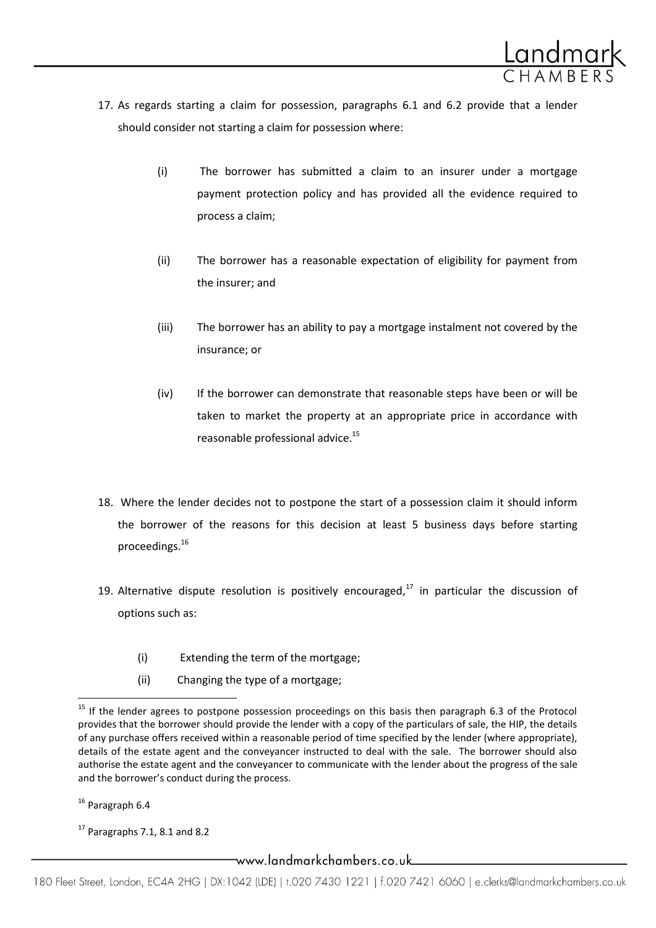

- 17. As regards starting a claim for possession, paragraphs 6.1 and 6.2 provide that a lender should consider not starting a claim for possession where:
	- (i) The borrower has submitted a claim to an insurer under a mortgage payment protection policy and has provided all the evidence required to process a claim;
	- (ii) The borrower has a reasonable expectation of eligibility for payment from the insurer; and
	- (iii) The borrower has an ability to pay a mortgage instalment not covered by the insurance; or
	- (iv) If the borrower can demonstrate that reasonable steps have been or will be taken to market the property at an appropriate price in accordance with reasonable professional advice.<sup>15</sup>
- 18. Where the lender decides not to postpone the start of a possession claim it should inform the borrower of the reasons for this decision at least 5 business days before starting proceedings.<sup>16</sup>
- 19. Alternative dispute resolution is positively encouraged, $17$  in particular the discussion of options such as:
	- (i) Extending the term of the mortgage;
	- (ii) Changing the type of a mortgage;

<sup>16</sup> Paragraph 6.4

l

 $17$  Paragraphs 7.1, 8.1 and 8.2

<sup>&</sup>lt;sup>15</sup> If the lender agrees to postpone possession proceedings on this basis then paragraph 6.3 of the Protocol provides that the borrower should provide the lender with a copy of the particulars of sale, the HIP, the details of any purchase offers received within a reasonable period of time specified by the lender (where appropriate), details of the estate agent and the conveyancer instructed to deal with the sale. The borrower should also authorise the estate agent and the conveyancer to communicate with the lender about the progress of the sale and the borrower's conduct during the process.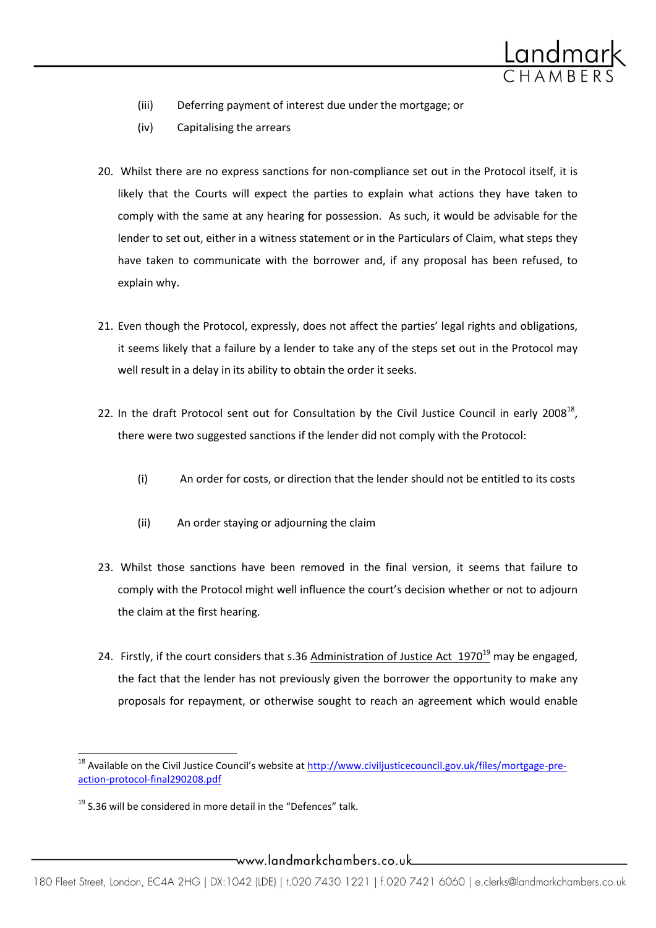

- (iii) Deferring payment of interest due under the mortgage; or
- (iv) Capitalising the arrears
- 20. Whilst there are no express sanctions for non-compliance set out in the Protocol itself, it is likely that the Courts will expect the parties to explain what actions they have taken to comply with the same at any hearing for possession. As such, it would be advisable for the lender to set out, either in a witness statement or in the Particulars of Claim, what steps they have taken to communicate with the borrower and, if any proposal has been refused, to explain why.
- 21. Even though the Protocol, expressly, does not affect the parties' legal rights and obligations, it seems likely that a failure by a lender to take any of the steps set out in the Protocol may well result in a delay in its ability to obtain the order it seeks.
- 22. In the draft Protocol sent out for Consultation by the Civil Justice Council in early 2008 $^{18}$ , there were two suggested sanctions if the lender did not comply with the Protocol:
	- (i) An order for costs, or direction that the lender should not be entitled to its costs
	- (ii) An order staying or adjourning the claim
- 23. Whilst those sanctions have been removed in the final version, it seems that failure to comply with the Protocol might well influence the court's decision whether or not to adjourn the claim at the first hearing.
- 24. Firstly, if the court considers that s.36 Administration of Justice Act  $1970^{19}$  may be engaged, the fact that the lender has not previously given the borrower the opportunity to make any proposals for repayment, or otherwise sought to reach an agreement which would enable

 $\overline{\phantom{a}}$ 

<sup>&</sup>lt;sup>18</sup> Available on the Civil Justice Council's website at [http://www.civiljusticecouncil.gov.uk/files/mortgage-pre](http://www.civiljusticecouncil.gov.uk/files/mortgage-pre-action-protocol-final290208.pdf)[action-protocol-final290208.pdf](http://www.civiljusticecouncil.gov.uk/files/mortgage-pre-action-protocol-final290208.pdf)

 $19$  S.36 will be considered in more detail in the "Defences" talk.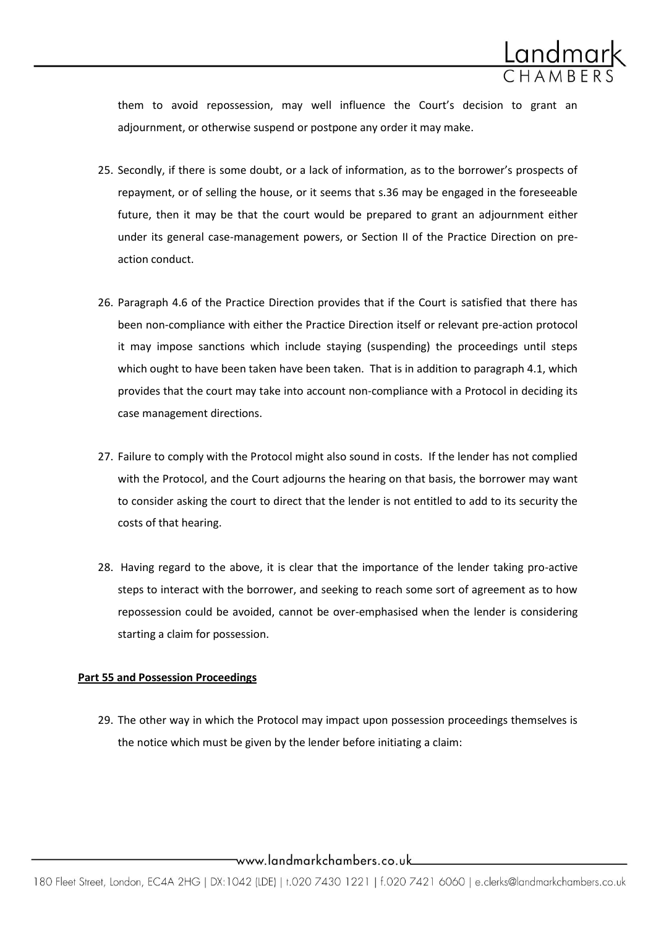

them to avoid repossession, may well influence the Court's decision to grant an adjournment, or otherwise suspend or postpone any order it may make.

- 25. Secondly, if there is some doubt, or a lack of information, as to the borrower's prospects of repayment, or of selling the house, or it seems that s.36 may be engaged in the foreseeable future, then it may be that the court would be prepared to grant an adjournment either under its general case-management powers, or Section II of the Practice Direction on preaction conduct.
- 26. Paragraph 4.6 of the Practice Direction provides that if the Court is satisfied that there has been non-compliance with either the Practice Direction itself or relevant pre-action protocol it may impose sanctions which include staying (suspending) the proceedings until steps which ought to have been taken have been taken. That is in addition to paragraph 4.1, which provides that the court may take into account non-compliance with a Protocol in deciding its case management directions.
- 27. Failure to comply with the Protocol might also sound in costs. If the lender has not complied with the Protocol, and the Court adjourns the hearing on that basis, the borrower may want to consider asking the court to direct that the lender is not entitled to add to its security the costs of that hearing.
- 28. Having regard to the above, it is clear that the importance of the lender taking pro-active steps to interact with the borrower, and seeking to reach some sort of agreement as to how repossession could be avoided, cannot be over-emphasised when the lender is considering starting a claim for possession.

#### **Part 55 and Possession Proceedings**

29. The other way in which the Protocol may impact upon possession proceedings themselves is the notice which must be given by the lender before initiating a claim: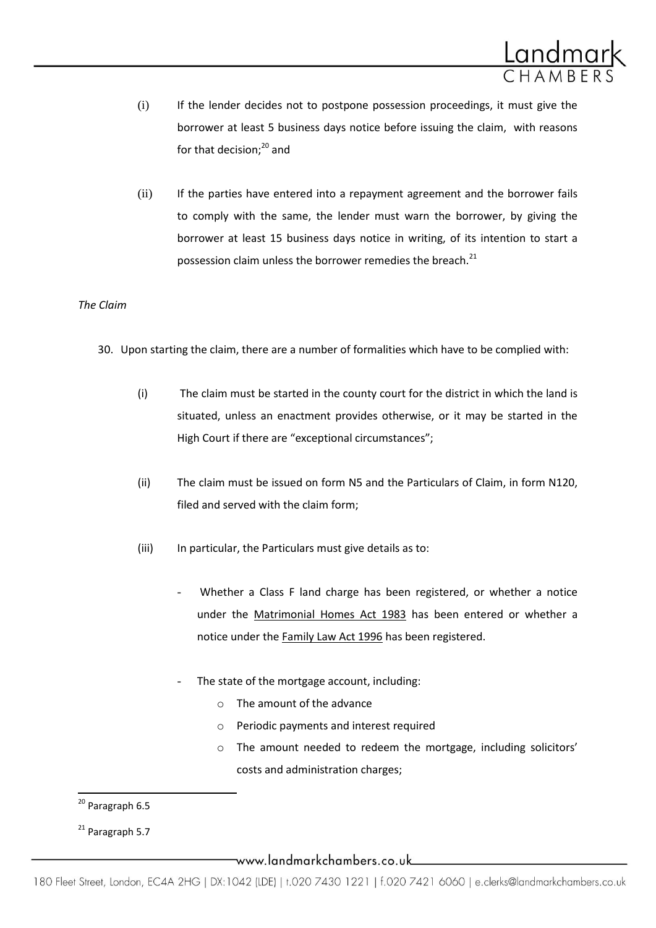

- (i) If the lender decides not to postpone possession proceedings, it must give the borrower at least 5 business days notice before issuing the claim, with reasons for that decision; $^{20}$  and
- (ii) If the parties have entered into a repayment agreement and the borrower fails to comply with the same, the lender must warn the borrower, by giving the borrower at least 15 business days notice in writing, of its intention to start a possession claim unless the borrower remedies the breach.<sup>21</sup>

## *The Claim*

- 30. Upon starting the claim, there are a number of formalities which have to be complied with:
	- (i) The claim must be started in the county court for the district in which the land is situated, unless an enactment provides otherwise, or it may be started in the High Court if there are "exceptional circumstances";
	- (ii) The claim must be issued on form N5 and the Particulars of Claim, in form N120, filed and served with the claim form;
	- (iii) In particular, the Particulars must give details as to:
		- Whether a Class F land charge has been registered, or whether a notice under the Matrimonial Homes Act 1983 has been entered or whether a notice under the Family Law Act 1996 has been registered.
		- The state of the mortgage account, including:
			- o The amount of the advance
			- o Periodic payments and interest required
			- o The amount needed to redeem the mortgage, including solicitors' costs and administration charges;

 $\overline{a}$ 

www.landmarkchambers.co.uk\_\_\_\_

<sup>&</sup>lt;sup>20</sup> Paragraph 6.5

 $21$  Paragraph 5.7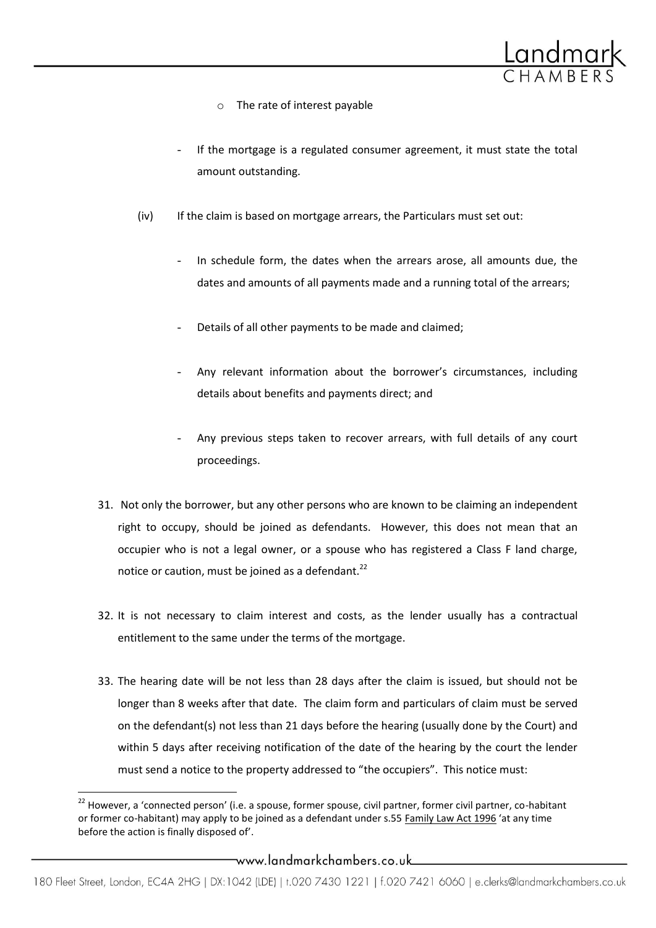

- o The rate of interest payable
- If the mortgage is a regulated consumer agreement, it must state the total amount outstanding.
- (iv) If the claim is based on mortgage arrears, the Particulars must set out:
	- In schedule form, the dates when the arrears arose, all amounts due, the dates and amounts of all payments made and a running total of the arrears;
	- Details of all other payments to be made and claimed;
	- Any relevant information about the borrower's circumstances, including details about benefits and payments direct; and
	- Any previous steps taken to recover arrears, with full details of any court proceedings.
- 31. Not only the borrower, but any other persons who are known to be claiming an independent right to occupy, should be joined as defendants. However, this does not mean that an occupier who is not a legal owner, or a spouse who has registered a Class F land charge, notice or caution, must be joined as a defendant.<sup>22</sup>
- 32. It is not necessary to claim interest and costs, as the lender usually has a contractual entitlement to the same under the terms of the mortgage.
- 33. The hearing date will be not less than 28 days after the claim is issued, but should not be longer than 8 weeks after that date. The claim form and particulars of claim must be served on the defendant(s) not less than 21 days before the hearing (usually done by the Court) and within 5 days after receiving notification of the date of the hearing by the court the lender must send a notice to the property addressed to "the occupiers". This notice must:

 $\overline{a}$ 

 $^{22}$  However, a 'connected person' (i.e. a spouse, former spouse, civil partner, former civil partner, co-habitant or former co-habitant) may apply to be joined as a defendant under s.55 Family Law Act 1996 'at any time before the action is finally disposed of'.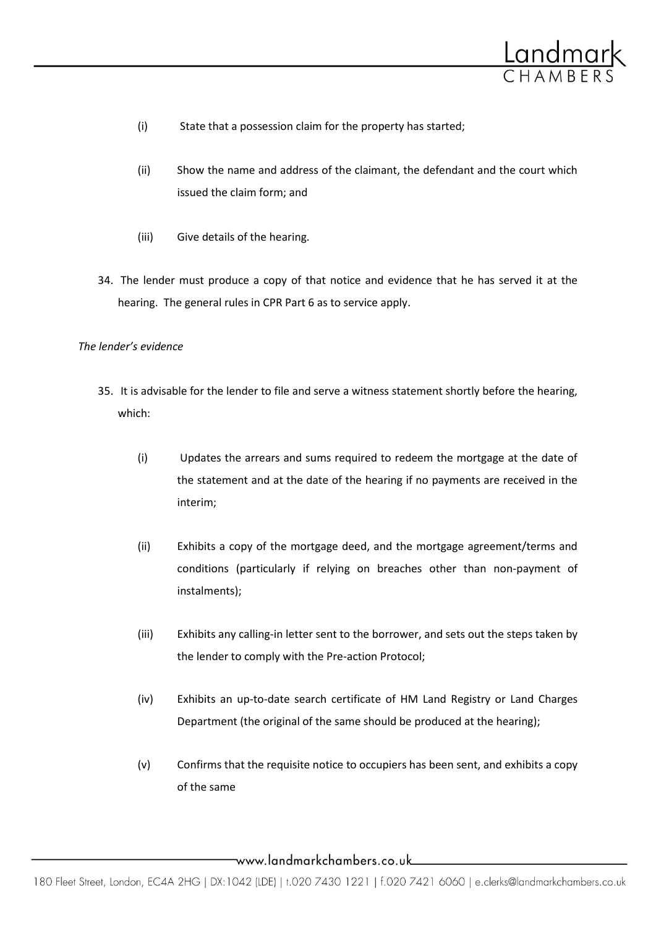

- (i) State that a possession claim for the property has started;
- (ii) Show the name and address of the claimant, the defendant and the court which issued the claim form; and
- (iii) Give details of the hearing.
- 34. The lender must produce a copy of that notice and evidence that he has served it at the hearing. The general rules in CPR Part 6 as to service apply.

#### *The lender's evidence*

- 35. It is advisable for the lender to file and serve a witness statement shortly before the hearing, which:
	- (i) Updates the arrears and sums required to redeem the mortgage at the date of the statement and at the date of the hearing if no payments are received in the interim;
	- (ii) Exhibits a copy of the mortgage deed, and the mortgage agreement/terms and conditions (particularly if relying on breaches other than non-payment of instalments);
	- (iii) Exhibits any calling-in letter sent to the borrower, and sets out the steps taken by the lender to comply with the Pre-action Protocol;
	- (iv) Exhibits an up-to-date search certificate of HM Land Registry or Land Charges Department (the original of the same should be produced at the hearing);
	- (v) Confirms that the requisite notice to occupiers has been sent, and exhibits a copy of the same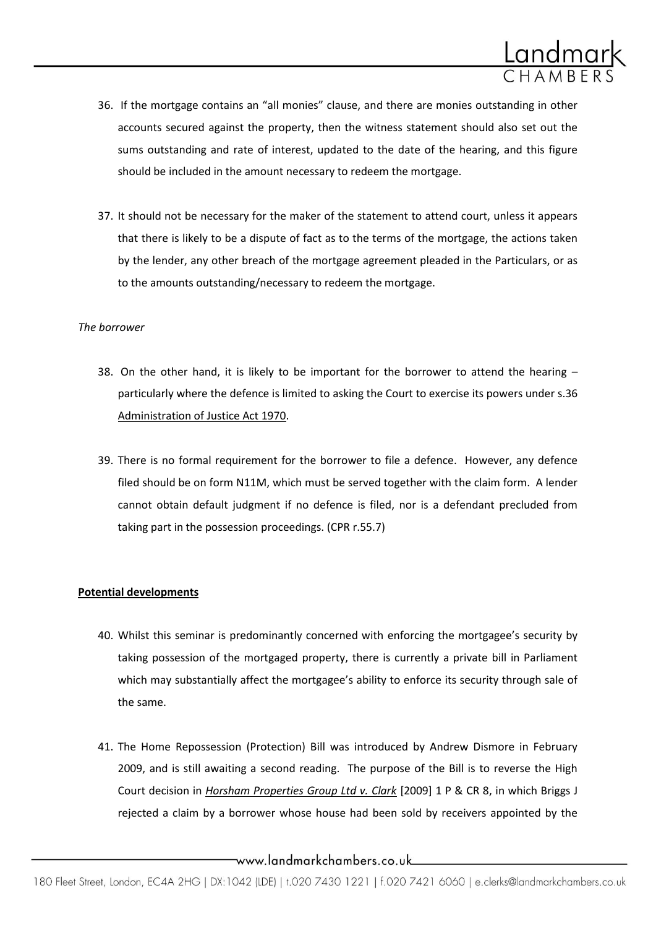

- 36. If the mortgage contains an "all monies" clause, and there are monies outstanding in other accounts secured against the property, then the witness statement should also set out the sums outstanding and rate of interest, updated to the date of the hearing, and this figure should be included in the amount necessary to redeem the mortgage.
- 37. It should not be necessary for the maker of the statement to attend court, unless it appears that there is likely to be a dispute of fact as to the terms of the mortgage, the actions taken by the lender, any other breach of the mortgage agreement pleaded in the Particulars, or as to the amounts outstanding/necessary to redeem the mortgage.

## *The borrower*

- 38. On the other hand, it is likely to be important for the borrower to attend the hearing  $$ particularly where the defence is limited to asking the Court to exercise its powers under s.36 Administration of Justice Act 1970.
- 39. There is no formal requirement for the borrower to file a defence. However, any defence filed should be on form N11M, which must be served together with the claim form. A lender cannot obtain default judgment if no defence is filed, nor is a defendant precluded from taking part in the possession proceedings. (CPR r.55.7)

# **Potential developments**

- 40. Whilst this seminar is predominantly concerned with enforcing the mortgagee's security by taking possession of the mortgaged property, there is currently a private bill in Parliament which may substantially affect the mortgagee's ability to enforce its security through sale of the same.
- 41. The Home Repossession (Protection) Bill was introduced by Andrew Dismore in February 2009, and is still awaiting a second reading. The purpose of the Bill is to reverse the High Court decision in *Horsham Properties Group Ltd v. Clark* [2009] 1 P & CR 8, in which Briggs J rejected a claim by a borrower whose house had been sold by receivers appointed by the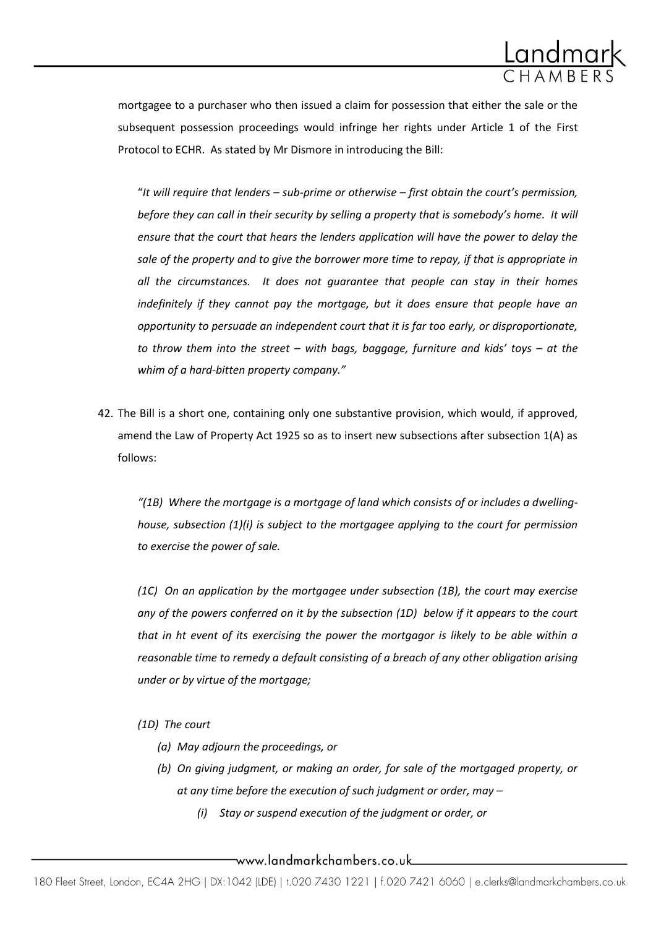

mortgagee to a purchaser who then issued a claim for possession that either the sale or the subsequent possession proceedings would infringe her rights under Article 1 of the First Protocol to ECHR. As stated by Mr Dismore in introducing the Bill:

"*It will require that lenders – sub-prime or otherwise – first obtain the court's permission, before they can call in their security by selling a property that is somebody's home. It will ensure that the court that hears the lenders application will have the power to delay the sale of the property and to give the borrower more time to repay, if that is appropriate in all the circumstances. It does not guarantee that people can stay in their homes indefinitely if they cannot pay the mortgage, but it does ensure that people have an opportunity to persuade an independent court that it is far too early, or disproportionate, to throw them into the street – with bags, baggage, furniture and kids' toys – at the whim of a hard-bitten property company."*

42. The Bill is a short one, containing only one substantive provision, which would, if approved, amend the Law of Property Act 1925 so as to insert new subsections after subsection 1(A) as follows:

*"(1B) Where the mortgage is a mortgage of land which consists of or includes a dwellinghouse, subsection (1)(i) is subject to the mortgagee applying to the court for permission to exercise the power of sale.*

*(1C) On an application by the mortgagee under subsection (1B), the court may exercise any of the powers conferred on it by the subsection (1D) below if it appears to the court that in ht event of its exercising the power the mortgagor is likely to be able within a reasonable time to remedy a default consisting of a breach of any other obligation arising under or by virtue of the mortgage;*

*(1D) The court*

- *(a) May adjourn the proceedings, or*
- *(b) On giving judgment, or making an order, for sale of the mortgaged property, or at any time before the execution of such judgment or order, may –*
	- *(i) Stay or suspend execution of the judgment or order, or*

\_www.landmarkchambers.co.uk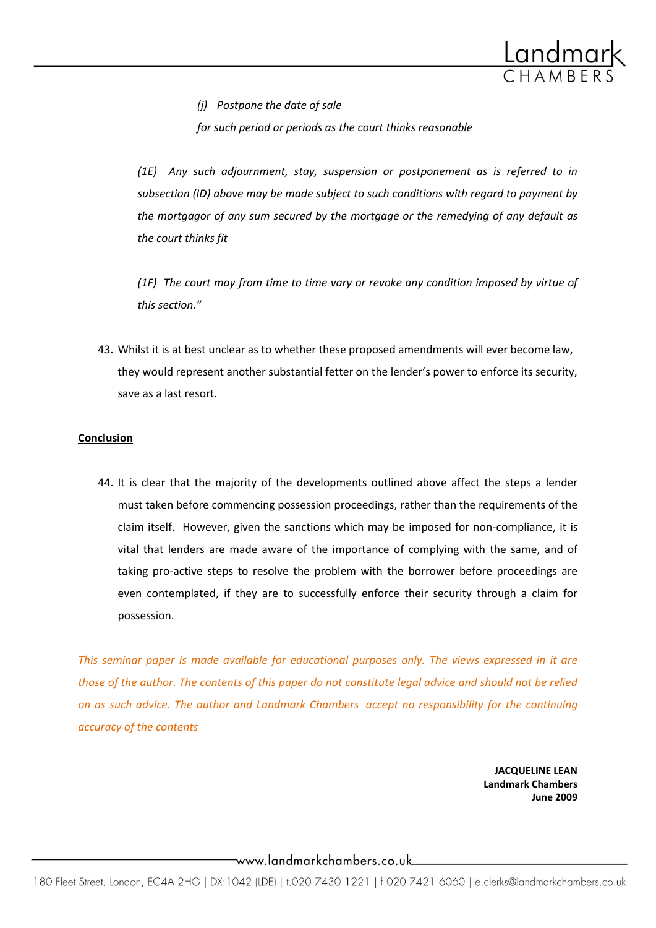

*(j) Postpone the date of sale*

*for such period or periods as the court thinks reasonable*

*(1E) Any such adjournment, stay, suspension or postponement as is referred to in subsection (ID) above may be made subject to such conditions with regard to payment by the mortgagor of any sum secured by the mortgage or the remedying of any default as the court thinks fit*

*(1F) The court may from time to time vary or revoke any condition imposed by virtue of this section."*

43. Whilst it is at best unclear as to whether these proposed amendments will ever become law, they would represent another substantial fetter on the lender's power to enforce its security, save as a last resort.

## **Conclusion**

44. It is clear that the majority of the developments outlined above affect the steps a lender must taken before commencing possession proceedings, rather than the requirements of the claim itself. However, given the sanctions which may be imposed for non-compliance, it is vital that lenders are made aware of the importance of complying with the same, and of taking pro-active steps to resolve the problem with the borrower before proceedings are even contemplated, if they are to successfully enforce their security through a claim for possession.

*This seminar paper is made available for educational purposes only. The views expressed in it are those of the author. The contents of this paper do not constitute legal advice and should not be relied on as such advice. The author and Landmark Chambers accept no responsibility for the continuing accuracy of the contents*

> **JACQUELINE LEAN Landmark Chambers June 2009**

\_www.landmarkchambers.co.uk